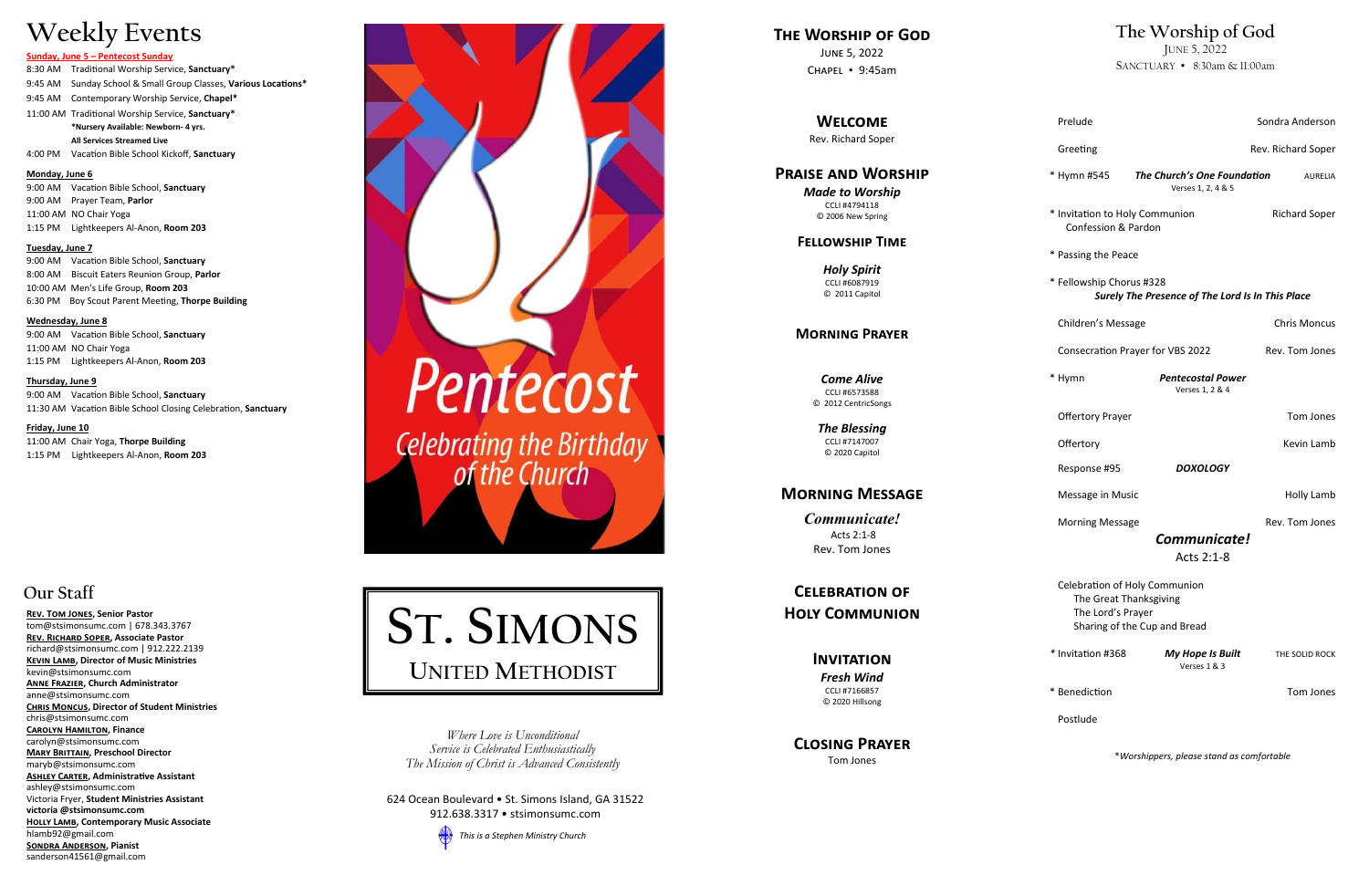### **Our Staff**

**[Rev. Tom Jones,](mailto:tom@stsimonsumc.com) Senior Pastor**  [tom@stsimonsumc.com](mailto:tom@stsimonsumc.com) | 678.343.3767 **Rev. Richard Soper, Associate Pastor** richard@stsimonsumc.com | 912.222.2139 **Kevin Lamb, Director of Music Ministries**  kevin@stsimonsumc.com **ANNE FRAZIER, Church Administrator** anne@stsimonsumc.com **Chris Moncus, Director of Student Ministries**  chris@stsimonsumc.com **Carolyn Hamilton, Finance**  carolyn@stsimonsumc.com **Mary Brittain, Preschool Director**  maryb@stsimonsumc.com **ASHLEY CARTER, Administrative Assistant** ashley@stsimonsumc.com Victoria Fryer, **Student Ministries Assistant victoria @stsimonsumc.com Holly Lamb, Contemporary Music Associate**  hlamb92@gmail.com **SONDRA ANDERSON, Pianist** sanderson41561@gmail.com



624 Ocean Boulevard • St. Simons Island, GA 31522 912.638.3317 • stsimonsumc.com

*This is a Stephen Ministry Church*

*Where Love is Unconditional Service is Celebrated Enthusiastically The Mission of Christ is Advanced Consistently*

# **Weekly Events**

#### **Sunday, June 5 – Pentecost Sunday**

8:30 AM Traditional Worship Service, **Sanctuary\*** 9:45 AM Sunday School & Small Group Classes, **Various Locations\*** 9:45 AM Contemporary Worship Service, **Chapel\*** 11:00 AM Traditional Worship Service, **Sanctuary\* \*Nursery Available: Newborn - 4 yrs. All Services Streamed Live**

4:00 PM Vacation Bible School Kickoff, **Sanctuary**

**Monday, June 6**

9:00 AM Vacation Bible School, **Sanctuary** 9:00 AM Prayer Team, **Parlor** 11:00 AM NO Chair Yoga 1:15 PM Lightkeepers Al -Anon, **Room 203**

| Prelude                                                                                                      |                                                   | Sondra Anderson      |
|--------------------------------------------------------------------------------------------------------------|---------------------------------------------------|----------------------|
| Greeting                                                                                                     |                                                   | Rev. Richard Soper   |
| * Hymn #545                                                                                                  | The Church's One Foundation<br>Verses 1, 2, 4 & 5 | <b>AURELIA</b>       |
| * Invitation to Holy Communion<br>Confession & Pardon                                                        |                                                   | <b>Richard Soper</b> |
| * Passing the Peace                                                                                          |                                                   |                      |
| * Fellowship Chorus #328<br>Surely The Presence of The Lord Is In This Place                                 |                                                   |                      |
| Children's Message                                                                                           |                                                   | Chris Moncus         |
|                                                                                                              | <b>Consecration Prayer for VBS 2022</b>           | Rev. Tom Jones       |
| * Hymn                                                                                                       | <b>Pentecostal Power</b><br>Verses 1, 2 & 4       |                      |
| <b>Offertory Prayer</b>                                                                                      |                                                   | Tom Jones            |
| Offertory                                                                                                    |                                                   | Kevin Lamb           |
| Response #95                                                                                                 | <b>DOXOLOGY</b>                                   |                      |
| Message in Music                                                                                             |                                                   | Holly Lamb           |
| <b>Morning Message</b>                                                                                       |                                                   | Rev. Tom Jones       |
| Communicate!<br>Acts 2:1-8                                                                                   |                                                   |                      |
| Celebration of Holy Communion<br>The Great Thanksgiving<br>The Lord's Prayer<br>Sharing of the Cup and Bread |                                                   |                      |
| * Invitation #368                                                                                            | <b>My Hope Is Built</b><br>Verses 1 & 3           | THE SOLID ROCK       |
| * Benediction                                                                                                |                                                   | Tom Jones            |
| Postlude                                                                                                     |                                                   |                      |
|                                                                                                              |                                                   |                      |

**Tuesday, June 7**

9:00 AM Vacation Bible School, **Sanctuary** 8:00 AM Biscuit Eaters Reunion Group, **Parlor** 10:00 AM Men's Life Group, **Room 203** 6:30 PM Boy Scout Parent Meeting, **Thorpe Building**

#### **Wednesday, June 8**

9:00 AM Vacation Bible School, **Sanctuary** 11:00 AM NO Chair Yoga 1:15 PM Lightkeepers Al -Anon, **Room 203**

#### **Thursday, June 9**

9:00 AM Vacation Bible School, **Sanctuary** 11:30 AM Vacation Bible School Closing Celebration, **Sanctuary**

**Friday, June 10**

11:00 AM Chair Yoga, **Thorpe Building** 1:15 PM Lightkeepers Al -Anon, **Room 203**

> **S T. SIMONS UNITED METHODIST**

### **The Worship of God**

JUNE 5, 2022 SANCTUARY • 8:30am & 11:00am

\**Worshippers, please stand as comfortable*

**The Worship of God** June 5, 2022 Chapel • 9:45am

#### **Welcome**

Rev. Richard Soper

#### **Praise and Worship**

*Made to Worship*  CCLI #4794118 © 2006 New Spring

#### **Fellowship Time**

*Holy Spirit* CCLI #6087919 © 2011 Capitol

#### **Morning Prayer**

*Come Alive* CCLI #6573588 © 2012 CentricSongs

*The Blessing* CCLI #7147007 © 2020 Capitol

### **Morning Message**

*Communicate!* Acts 2:1 - 8 Rev. Tom Jones

### **Celebration of Holy Communion**

**Invitation**

*Fresh Wind* CCLI #7166857 © 2020 Hillsong

**Closing Prayer** Tom Jones